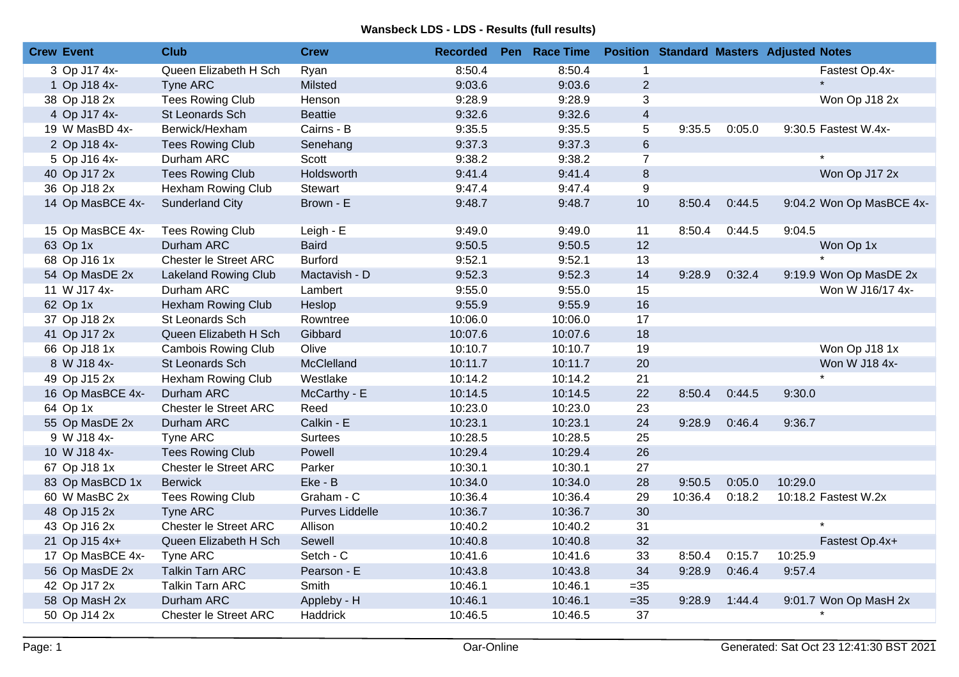## **Wansbeck LDS - LDS - Results (full results)**

| <b>Crew Event</b> | <b>Club</b>                  | <b>Crew</b>     | <b>Recorded</b> | Pen Race Time |                  |         |        | <b>Position Standard Masters Adjusted Notes</b> |
|-------------------|------------------------------|-----------------|-----------------|---------------|------------------|---------|--------|-------------------------------------------------|
| 3 Op J17 4x-      | Queen Elizabeth H Sch        | Ryan            | 8:50.4          | 8:50.4        | $\mathbf 1$      |         |        | Fastest Op.4x-                                  |
| 1 Op J18 4x-      | Tyne ARC                     | Milsted         | 9:03.6          | 9:03.6        | $\overline{2}$   |         |        |                                                 |
| 38 Op J18 2x      | <b>Tees Rowing Club</b>      | Henson          | 9:28.9          | 9:28.9        | 3                |         |        | Won Op J18 2x                                   |
| 4 Op J17 4x-      | St Leonards Sch              | <b>Beattie</b>  | 9:32.6          | 9:32.6        | $\overline{4}$   |         |        |                                                 |
| 19 W MasBD 4x-    | Berwick/Hexham               | Cairns - B      | 9:35.5          | 9:35.5        | 5                | 9:35.5  | 0:05.0 | 9:30.5 Fastest W.4x-                            |
| 2 Op J18 4x-      | <b>Tees Rowing Club</b>      | Senehang        | 9:37.3          | 9:37.3        | $6\phantom{.}$   |         |        |                                                 |
| 5 Op J16 4x-      | Durham ARC                   | Scott           | 9:38.2          | 9:38.2        | $\overline{7}$   |         |        | $\star$                                         |
| 40 Op J17 2x      | <b>Tees Rowing Club</b>      | Holdsworth      | 9:41.4          | 9:41.4        | $\bf 8$          |         |        | Won Op J17 2x                                   |
| 36 Op J18 2x      | Hexham Rowing Club           | Stewart         | 9:47.4          | 9:47.4        | $\boldsymbol{9}$ |         |        |                                                 |
| 14 Op MasBCE 4x-  | <b>Sunderland City</b>       | Brown - E       | 9:48.7          | 9:48.7        | 10               | 8:50.4  | 0:44.5 | 9:04.2 Won Op MasBCE 4x-                        |
| 15 Op MasBCE 4x-  | <b>Tees Rowing Club</b>      | Leigh - E       | 9:49.0          | 9:49.0        | 11               | 8:50.4  | 0:44.5 | 9:04.5                                          |
| 63 Op 1x          | Durham ARC                   | <b>Baird</b>    | 9:50.5          | 9:50.5        | 12               |         |        | Won Op 1x                                       |
| 68 Op J16 1x      | Chester le Street ARC        | <b>Burford</b>  | 9:52.1          | 9:52.1        | 13               |         |        |                                                 |
| 54 Op MasDE 2x    | <b>Lakeland Rowing Club</b>  | Mactavish - D   | 9:52.3          | 9:52.3        | 14               | 9:28.9  | 0:32.4 | 9:19.9 Won Op MasDE 2x                          |
| 11 W J17 4x-      | Durham ARC                   | Lambert         | 9:55.0          | 9:55.0        | 15               |         |        | Won W J16/17 4x-                                |
| 62 Op 1x          | Hexham Rowing Club           | Heslop          | 9:55.9          | 9:55.9        | 16               |         |        |                                                 |
| 37 Op J18 2x      | St Leonards Sch              | Rowntree        | 10:06.0         | 10:06.0       | 17               |         |        |                                                 |
| 41 Op J17 2x      | Queen Elizabeth H Sch        | Gibbard         | 10:07.6         | 10:07.6       | 18               |         |        |                                                 |
| 66 Op J18 1x      | <b>Cambois Rowing Club</b>   | Olive           | 10:10.7         | 10:10.7       | 19               |         |        | Won Op J18 1x                                   |
| 8 W J18 4x-       | St Leonards Sch              | McClelland      | 10:11.7         | 10:11.7       | 20               |         |        | Won W J18 4x-                                   |
| 49 Op J15 2x      | Hexham Rowing Club           | Westlake        | 10:14.2         | 10:14.2       | 21               |         |        |                                                 |
| 16 Op MasBCE 4x-  | Durham ARC                   | McCarthy - E    | 10:14.5         | 10:14.5       | 22               | 8:50.4  | 0:44.5 | 9:30.0                                          |
| 64 Op 1x          | <b>Chester le Street ARC</b> | Reed            | 10:23.0         | 10:23.0       | 23               |         |        |                                                 |
| 55 Op MasDE 2x    | Durham ARC                   | Calkin - E      | 10:23.1         | 10:23.1       | 24               | 9:28.9  | 0:46.4 | 9:36.7                                          |
| 9 W J18 4x-       | Tyne ARC                     | <b>Surtees</b>  | 10:28.5         | 10:28.5       | 25               |         |        |                                                 |
| 10 W J18 4x-      | <b>Tees Rowing Club</b>      | Powell          | 10:29.4         | 10:29.4       | 26               |         |        |                                                 |
| 67 Op J18 1x      | Chester le Street ARC        | Parker          | 10:30.1         | 10:30.1       | 27               |         |        |                                                 |
| 83 Op MasBCD 1x   | <b>Berwick</b>               | Eke - B         | 10:34.0         | 10:34.0       | 28               | 9:50.5  | 0:05.0 | 10:29.0                                         |
| 60 W MasBC 2x     | <b>Tees Rowing Club</b>      | Graham - C      | 10:36.4         | 10:36.4       | 29               | 10:36.4 | 0:18.2 | 10:18.2 Fastest W.2x                            |
| 48 Op J15 2x      | <b>Tyne ARC</b>              | Purves Liddelle | 10:36.7         | 10:36.7       | 30               |         |        |                                                 |
| 43 Op J16 2x      | Chester le Street ARC        | Allison         | 10:40.2         | 10:40.2       | 31               |         |        |                                                 |
| 21 Op J15 4x+     | Queen Elizabeth H Sch        | Sewell          | 10:40.8         | 10:40.8       | 32               |         |        | Fastest Op.4x+                                  |
| 17 Op MasBCE 4x-  | Tyne ARC                     | Setch - C       | 10:41.6         | 10:41.6       | 33               | 8:50.4  | 0:15.7 | 10:25.9                                         |
| 56 Op MasDE 2x    | <b>Talkin Tarn ARC</b>       | Pearson - E     | 10:43.8         | 10:43.8       | 34               | 9:28.9  | 0:46.4 | 9:57.4                                          |
| 42 Op J17 2x      | <b>Talkin Tarn ARC</b>       | Smith           | 10:46.1         | 10:46.1       | $=35$            |         |        |                                                 |
| 58 Op MasH 2x     | Durham ARC                   | Appleby - H     | 10:46.1         | 10:46.1       | $=35$            | 9:28.9  | 1:44.4 | 9:01.7 Won Op MasH 2x                           |
| 50 Op J14 2x      | <b>Chester le Street ARC</b> | Haddrick        | 10:46.5         | 10:46.5       | 37               |         |        |                                                 |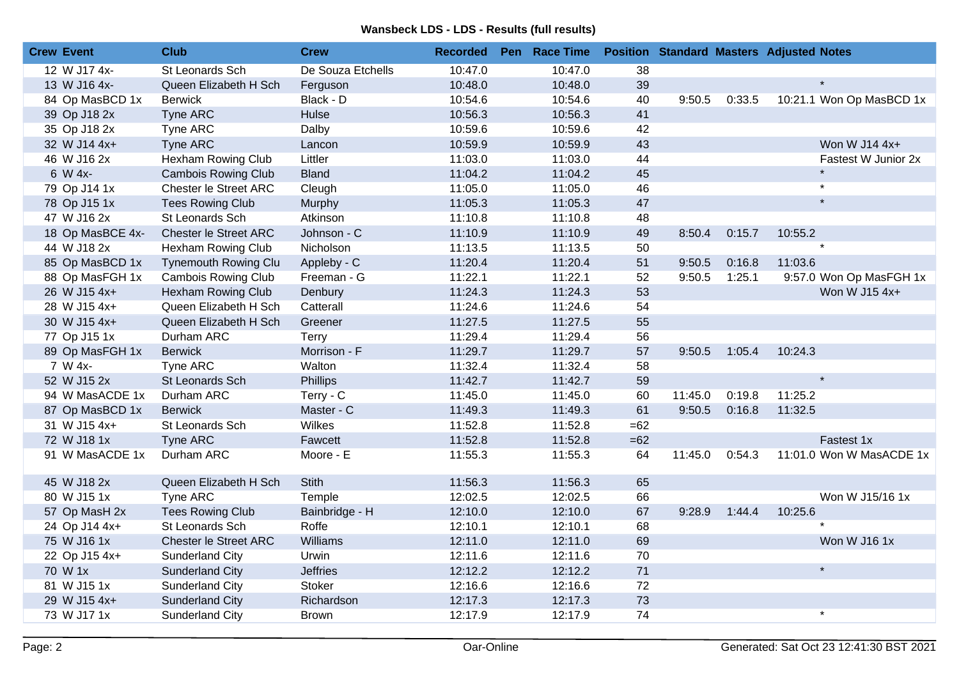## **Wansbeck LDS - LDS - Results (full results)**

| <b>Crew Event</b> |                  | <b>Club</b>                  | <b>Crew</b>       | <b>Recorded</b> | Pen Race Time |       |         |        | <b>Position Standard Masters Adjusted Notes</b> |
|-------------------|------------------|------------------------------|-------------------|-----------------|---------------|-------|---------|--------|-------------------------------------------------|
|                   | 12 W J17 4x-     | St Leonards Sch              | De Souza Etchells | 10:47.0         | 10:47.0       | 38    |         |        |                                                 |
|                   | 13 W J16 4x-     | Queen Elizabeth H Sch        | Ferguson          | 10:48.0         | 10:48.0       | 39    |         |        |                                                 |
|                   | 84 Op MasBCD 1x  | <b>Berwick</b>               | Black - D         | 10:54.6         | 10:54.6       | 40    | 9:50.5  | 0:33.5 | 10:21.1 Won Op MasBCD 1x                        |
|                   | 39 Op J18 2x     | Tyne ARC                     | Hulse             | 10:56.3         | 10:56.3       | 41    |         |        |                                                 |
|                   | 35 Op J18 2x     | Tyne ARC                     | Dalby             | 10:59.6         | 10:59.6       | 42    |         |        |                                                 |
|                   | 32 W J14 4x+     | Tyne ARC                     | Lancon            | 10:59.9         | 10:59.9       | 43    |         |        | Won W J14 4x+                                   |
|                   | 46 W J16 2x      | Hexham Rowing Club           | Littler           | 11:03.0         | 11:03.0       | 44    |         |        | Fastest W Junior 2x                             |
|                   | 6 W 4x-          | <b>Cambois Rowing Club</b>   | <b>Bland</b>      | 11:04.2         | 11:04.2       | 45    |         |        | $\star$                                         |
|                   | 79 Op J14 1x     | Chester le Street ARC        | Cleugh            | 11:05.0         | 11:05.0       | 46    |         |        | $\star$                                         |
|                   | 78 Op J15 1x     | <b>Tees Rowing Club</b>      | Murphy            | 11:05.3         | 11:05.3       | 47    |         |        | $\star$                                         |
|                   | 47 W J16 2x      | St Leonards Sch              | Atkinson          | 11:10.8         | 11:10.8       | 48    |         |        |                                                 |
|                   | 18 Op MasBCE 4x- | <b>Chester le Street ARC</b> | Johnson - C       | 11:10.9         | 11:10.9       | 49    | 8:50.4  | 0:15.7 | 10:55.2                                         |
|                   | 44 W J18 2x      | Hexham Rowing Club           | Nicholson         | 11:13.5         | 11:13.5       | 50    |         |        | $\star$                                         |
|                   | 85 Op MasBCD 1x  | <b>Tynemouth Rowing Clu</b>  | Appleby - C       | 11:20.4         | 11:20.4       | 51    | 9:50.5  | 0:16.8 | 11:03.6                                         |
|                   | 88 Op MasFGH 1x  | <b>Cambois Rowing Club</b>   | Freeman - G       | 11:22.1         | 11:22.1       | 52    | 9:50.5  | 1:25.1 | 9:57.0 Won Op MasFGH 1x                         |
|                   | 26 W J15 4x+     | Hexham Rowing Club           | Denbury           | 11:24.3         | 11:24.3       | 53    |         |        | Won W J15 4x+                                   |
|                   | 28 W J15 4x+     | Queen Elizabeth H Sch        | Catterall         | 11:24.6         | 11:24.6       | 54    |         |        |                                                 |
|                   | 30 W J15 4x+     | Queen Elizabeth H Sch        | Greener           | 11:27.5         | 11:27.5       | 55    |         |        |                                                 |
|                   | 77 Op J15 1x     | Durham ARC                   | Terry             | 11:29.4         | 11:29.4       | 56    |         |        |                                                 |
|                   | 89 Op MasFGH 1x  | <b>Berwick</b>               | Morrison - F      | 11:29.7         | 11:29.7       | 57    | 9:50.5  | 1:05.4 | 10:24.3                                         |
|                   | 7 W 4x-          | Tyne ARC                     | Walton            | 11:32.4         | 11:32.4       | 58    |         |        |                                                 |
|                   | 52 W J15 2x      | St Leonards Sch              | <b>Phillips</b>   | 11:42.7         | 11:42.7       | 59    |         |        |                                                 |
|                   | 94 W MasACDE 1x  | Durham ARC                   | Terry - C         | 11:45.0         | 11:45.0       | 60    | 11:45.0 | 0:19.8 | 11:25.2                                         |
|                   | 87 Op MasBCD 1x  | <b>Berwick</b>               | Master - C        | 11:49.3         | 11:49.3       | 61    | 9:50.5  | 0:16.8 | 11:32.5                                         |
|                   | 31 W J15 4x+     | St Leonards Sch              | Wilkes            | 11:52.8         | 11:52.8       | $=62$ |         |        |                                                 |
|                   | 72 W J18 1x      | Tyne ARC                     | Fawcett           | 11:52.8         | 11:52.8       | $=62$ |         |        | Fastest 1x                                      |
|                   | 91 W MasACDE 1x  | Durham ARC                   | Moore - E         | 11:55.3         | 11:55.3       | 64    | 11:45.0 | 0:54.3 | 11:01.0 Won W MasACDE 1x                        |
|                   | 45 W J18 2x      | Queen Elizabeth H Sch        | <b>Stith</b>      | 11:56.3         | 11:56.3       | 65    |         |        |                                                 |
|                   | 80 W J15 1x      | Tyne ARC                     | Temple            | 12:02.5         | 12:02.5       | 66    |         |        | Won W J15/16 1x                                 |
|                   | 57 Op MasH 2x    | <b>Tees Rowing Club</b>      | Bainbridge - H    | 12:10.0         | 12:10.0       | 67    | 9:28.9  | 1:44.4 | 10:25.6                                         |
|                   | 24 Op J14 4x+    | St Leonards Sch              | Roffe             | 12:10.1         | 12:10.1       | 68    |         |        |                                                 |
|                   | 75 W J16 1x      | Chester le Street ARC        | Williams          | 12:11.0         | 12:11.0       | 69    |         |        | Won W J16 1x                                    |
|                   | 22 Op J15 4x+    | Sunderland City              | Urwin             | 12:11.6         | 12:11.6       | 70    |         |        |                                                 |
| 70 W 1x           |                  | <b>Sunderland City</b>       | <b>Jeffries</b>   | 12:12.2         | 12:12.2       | 71    |         |        | $\star$                                         |
|                   | 81 W J15 1x      | Sunderland City              | Stoker            | 12:16.6         | 12:16.6       | 72    |         |        |                                                 |
|                   | 29 W J15 4x+     | <b>Sunderland City</b>       | Richardson        | 12:17.3         | 12:17.3       | 73    |         |        |                                                 |
|                   | 73 W J17 1x      | <b>Sunderland City</b>       | <b>Brown</b>      | 12:17.9         | 12:17.9       | 74    |         |        | $\star$                                         |